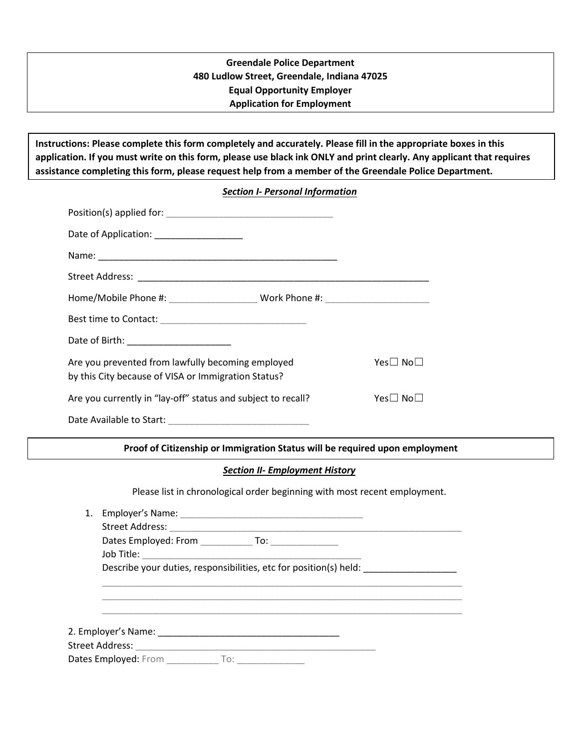# **Greendale Police Department 480 Ludlow Street, Greendale, Indiana 47025 Equal Opportunity Employer Application for Employment**

**Instructions: Please complete this form completely and accurately. Please fill in the appropriate boxes in this application. If you must write on this form, please use black ink ONLY and print clearly. Any applicant that requires assistance completing this form, please request help from a member of the Greendale Police Department.**

## *Section I- Personal Information*

| Date of Application: ____________________                                                                            |  |          |
|----------------------------------------------------------------------------------------------------------------------|--|----------|
|                                                                                                                      |  |          |
|                                                                                                                      |  |          |
|                                                                                                                      |  |          |
|                                                                                                                      |  |          |
| Date of Birth: _________________________                                                                             |  |          |
| Are you prevented from lawfully becoming employed<br>Yes□ No□<br>by this City because of VISA or Immigration Status? |  |          |
| Are you currently in "lay-off" status and subject to recall?                                                         |  | Yes□ No□ |
| Date Available to Start:                                                                                             |  |          |

**Proof of Citizenship or Immigration Status will be required upon employment**

## *Section II- Employment History*

Please list in chronological order beginning with most recent employment.

| 1. |                          |                                                                   |  |
|----|--------------------------|-------------------------------------------------------------------|--|
|    |                          |                                                                   |  |
|    | Job Title:               |                                                                   |  |
|    |                          | Describe your duties, responsibilities, etc for position(s) held: |  |
|    |                          |                                                                   |  |
|    |                          |                                                                   |  |
|    |                          |                                                                   |  |
|    |                          |                                                                   |  |
|    | Dates Employed: From To: |                                                                   |  |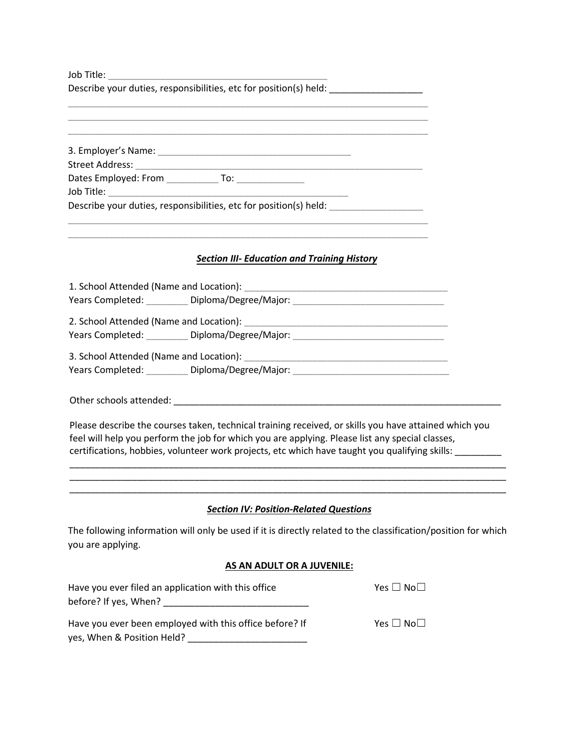Job Title: \_\_\_\_\_\_\_\_\_\_\_\_\_\_\_\_\_\_\_\_\_\_\_\_\_\_\_\_\_\_\_\_\_\_\_\_\_\_\_\_\_\_

Describe your duties, responsibilities, etc for position(s) held: \_\_\_\_\_\_\_\_\_\_\_\_\_\_

| 3. Employer's Name:                                               |     |  |  |
|-------------------------------------------------------------------|-----|--|--|
| <b>Street Address:</b>                                            |     |  |  |
| Dates Employed: From                                              | To: |  |  |
| Job Title:                                                        |     |  |  |
| Describe your duties, responsibilities, etc for position(s) held: |     |  |  |

\_\_\_\_\_\_\_\_\_\_\_\_\_\_\_\_\_\_\_\_\_\_\_\_\_\_\_\_\_\_\_\_\_\_\_\_\_\_\_\_\_\_\_\_\_\_\_\_\_\_\_\_\_\_\_\_\_\_\_\_\_\_\_\_\_\_\_\_\_ \_\_\_\_\_\_\_\_\_\_\_\_\_\_\_\_\_\_\_\_\_\_\_\_\_\_\_\_\_\_\_\_\_\_\_\_\_\_\_\_\_\_\_\_\_\_\_\_\_\_\_\_\_\_\_\_\_\_\_\_\_\_\_\_\_\_\_\_\_

\_\_\_\_\_\_\_\_\_\_\_\_\_\_\_\_\_\_\_\_\_\_\_\_\_\_\_\_\_\_\_\_\_\_\_\_\_\_\_\_\_\_\_\_\_\_\_\_\_\_\_\_\_\_\_\_\_\_\_\_\_\_\_\_\_\_\_\_\_ \_\_\_\_\_\_\_\_\_\_\_\_\_\_\_\_\_\_\_\_\_\_\_\_\_\_\_\_\_\_\_\_\_\_\_\_\_\_\_\_\_\_\_\_\_\_\_\_\_\_\_\_\_\_\_\_\_\_\_\_\_\_\_\_\_\_\_\_\_

#### *Section III- Education and Training History*

| 1. School Attended (Name and Location):                                           |                                        |  |
|-----------------------------------------------------------------------------------|----------------------------------------|--|
|                                                                                   | Years Completed: Diploma/Degree/Major: |  |
| 2. School Attended (Name and Location):<br>Years Completed: Diploma/Degree/Major: |                                        |  |
| 3. School Attended (Name and Location):<br>Years Completed: Diploma/Degree/Major: |                                        |  |

Other schools attended: \_\_\_\_\_\_\_\_\_\_\_\_\_\_\_\_\_\_\_\_\_\_\_\_\_\_\_\_\_\_\_\_\_\_\_\_\_\_\_\_\_\_\_\_\_\_\_\_\_\_\_\_\_\_\_\_\_\_\_\_\_\_\_

Please describe the courses taken, technical training received, or skills you have attained which you feel will help you perform the job for which you are applying. Please list any special classes, certifications, hobbies, volunteer work projects, etc which have taught you qualifying skills: \_\_\_\_\_\_\_\_\_\_

#### *Section IV: Position-Related Questions*

\_\_\_\_\_\_\_\_\_\_\_\_\_\_\_\_\_\_\_\_\_\_\_\_\_\_\_\_\_\_\_\_\_\_\_\_\_\_\_\_\_\_\_\_\_\_\_\_\_\_\_\_\_\_\_\_\_\_\_\_\_\_\_\_\_\_\_\_\_\_\_\_\_\_\_\_\_\_\_\_\_\_\_\_

\_\_\_\_\_\_\_\_\_\_\_\_\_\_\_\_\_\_\_\_\_\_\_\_\_\_\_\_\_\_\_\_\_\_\_\_\_\_\_\_\_\_\_\_\_\_\_\_\_\_\_\_\_\_\_\_\_\_\_\_\_\_\_\_\_\_\_\_\_\_\_\_\_\_\_\_\_\_\_\_\_\_\_\_

The following information will only be used if it is directly related to the classification/position for which you are applying.

#### **AS AN ADULT OR A JUVENILE:**

| Have you ever filed an application with this office     | Yes $\Box$ No $\Box$ |
|---------------------------------------------------------|----------------------|
| before? If yes, When?                                   |                      |
| Have you ever been employed with this office before? If | Yes $\Box$ No $\Box$ |
| yes, When & Position Held?                              |                      |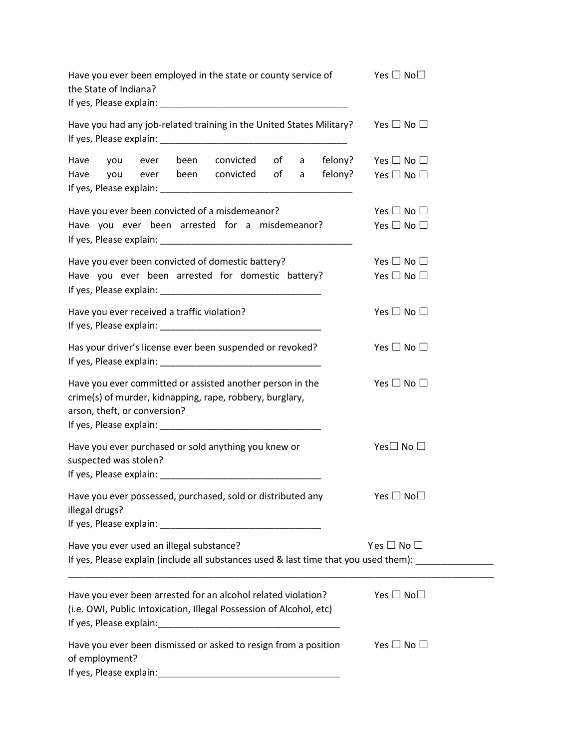| Have you ever been employed in the state or county service of<br>the State of Indiana?<br>If yes, Please explain: The according to the state of the state of the state of the state of the state of the state of the state of the state of the state of the state of the state of the state of the state of the state of | Yes $\Box$ No $\Box$       |
|--------------------------------------------------------------------------------------------------------------------------------------------------------------------------------------------------------------------------------------------------------------------------------------------------------------------------|----------------------------|
| Have you had any job-related training in the United States Military?                                                                                                                                                                                                                                                     | Yes $\Box$ No $\Box$       |
| convicted of a<br>felony?<br>Have<br>been<br>you<br>ever                                                                                                                                                                                                                                                                 | Yes $\Box$ No $\Box$       |
| ever been convicted of a<br>felony?<br>Have you                                                                                                                                                                                                                                                                          | Yes $\Box$ No $\Box$       |
| Have you ever been convicted of a misdemeanor?                                                                                                                                                                                                                                                                           | Yes $\Box$ No $\Box$       |
| Have you ever been arrested for a misdemeanor?                                                                                                                                                                                                                                                                           | Yes $\Box$ No $\Box$       |
| Have you ever been convicted of domestic battery?                                                                                                                                                                                                                                                                        | Yes $\Box$ No $\Box$       |
| Have you ever been arrested for domestic battery?                                                                                                                                                                                                                                                                        | Yes $\Box$ No $\Box$       |
| Have you ever received a traffic violation?                                                                                                                                                                                                                                                                              | Yes $\Box$ No $\Box$       |
| Has your driver's license ever been suspended or revoked?                                                                                                                                                                                                                                                                | Yes $\Box$ No $\Box$       |
| Have you ever committed or assisted another person in the<br>crime(s) of murder, kidnapping, rape, robbery, burglary,<br>arson, theft, or conversion?                                                                                                                                                                    | Yes $\Box$ No $\Box$       |
| Have you ever purchased or sold anything you knew or<br>suspected was stolen?                                                                                                                                                                                                                                            | Yes $\square$ No $\square$ |
| Have you ever possessed, purchased, sold or distributed any<br>illegal drugs?                                                                                                                                                                                                                                            | Yes $\Box$ No $\Box$       |
| Have you ever used an illegal substance?                                                                                                                                                                                                                                                                                 | Yes $\Box$ No $\Box$       |
| If yes, Please explain (include all substances used & last time that you used them): _______________                                                                                                                                                                                                                     |                            |
| Have you ever been arrested for an alcohol related violation?<br>(i.e. OWI, Public Intoxication, Illegal Possession of Alcohol, etc)                                                                                                                                                                                     | Yes $\Box$ No $\Box$       |
| Have you ever been dismissed or asked to resign from a position<br>of employment?<br>If yes, Please explain:                                                                                                                                                                                                             | Yes $\Box$ No $\Box$       |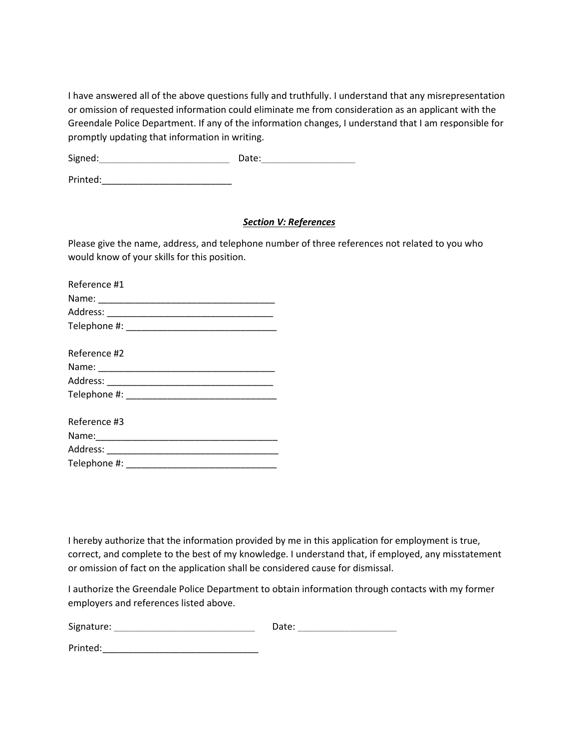I have answered all of the above questions fully and truthfully. I understand that any misrepresentation or omission of requested information could eliminate me from consideration as an applicant with the Greendale Police Department. If any of the information changes, I understand that I am responsible for promptly updating that information in writing.

Signed:\_\_\_\_\_\_\_\_\_\_\_\_\_\_\_\_\_\_\_\_\_\_\_\_\_ Date:\_\_\_\_\_\_\_\_\_\_\_\_\_\_\_\_\_\_

Printed:\_\_\_\_\_\_\_\_\_\_\_\_\_\_\_\_\_\_\_\_\_\_\_\_\_

### *Section V: References*

Please give the name, address, and telephone number of three references not related to you who would know of your skills for this position.

| Reference #1                                    |  |
|-------------------------------------------------|--|
|                                                 |  |
|                                                 |  |
|                                                 |  |
|                                                 |  |
| Reference #2                                    |  |
|                                                 |  |
|                                                 |  |
| Telephone #: New York Products and Telephone #: |  |
|                                                 |  |
| Reference #3                                    |  |
| Name:                                           |  |

Address: \_\_\_\_\_\_\_\_\_\_\_\_\_\_\_\_\_\_\_\_\_\_\_\_\_\_\_\_\_\_\_\_\_ Telephone #: \_\_\_\_\_\_\_\_\_\_\_\_\_\_\_\_\_\_\_\_\_\_\_\_\_\_\_\_\_

I hereby authorize that the information provided by me in this application for employment is true, correct, and complete to the best of my knowledge. I understand that, if employed, any misstatement or omission of fact on the application shall be considered cause for dismissal.

I authorize the Greendale Police Department to obtain information through contacts with my former employers and references listed above.

| Signature: | Date: |  |
|------------|-------|--|
|            |       |  |

Printed: \_\_\_\_\_\_\_\_\_\_\_\_\_\_\_\_\_\_\_\_\_\_\_\_\_\_\_\_\_\_